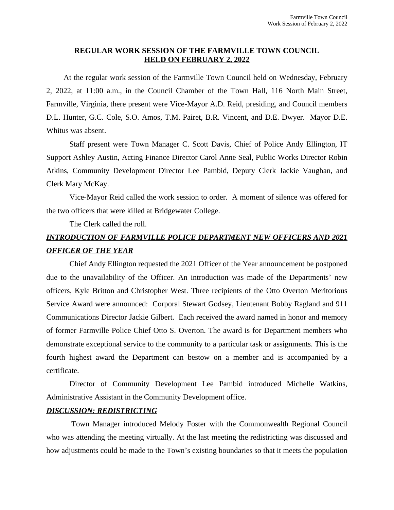#### **REGULAR WORK SESSION OF THE FARMVILLE TOWN COUNCIL HELD ON FEBRUARY 2, 2022**

At the regular work session of the Farmville Town Council held on Wednesday, February 2, 2022, at 11:00 a.m., in the Council Chamber of the Town Hall, 116 North Main Street, Farmville, Virginia, there present were Vice-Mayor A.D. Reid, presiding, and Council members D.L. Hunter, G.C. Cole, S.O. Amos, T.M. Pairet, B.R. Vincent, and D.E. Dwyer. Mayor D.E. Whitus was absent.

Staff present were Town Manager C. Scott Davis, Chief of Police Andy Ellington, IT Support Ashley Austin, Acting Finance Director Carol Anne Seal, Public Works Director Robin Atkins, Community Development Director Lee Pambid, Deputy Clerk Jackie Vaughan, and Clerk Mary McKay.

Vice-Mayor Reid called the work session to order. A moment of silence was offered for the two officers that were killed at Bridgewater College.

The Clerk called the roll.

### *INTRODUCTION OF FARMVILLE POLICE DEPARTMENT NEW OFFICERS AND 2021 OFFICER OF THE YEAR*

Chief Andy Ellington requested the 2021 Officer of the Year announcement be postponed due to the unavailability of the Officer. An introduction was made of the Departments' new officers, Kyle Britton and Christopher West. Three recipients of the Otto Overton Meritorious Service Award were announced: Corporal Stewart Godsey, Lieutenant Bobby Ragland and 911 Communications Director Jackie Gilbert. Each received the award named in honor and memory of former Farmville Police Chief Otto S. Overton. The award is for Department members who demonstrate exceptional service to the community to a particular task or assignments. This is the fourth highest award the Department can bestow on a member and is accompanied by a certificate.

Director of Community Development Lee Pambid introduced Michelle Watkins, Administrative Assistant in the Community Development office.

#### *DISCUSSION: REDISTRICTING*

Town Manager introduced Melody Foster with the Commonwealth Regional Council who was attending the meeting virtually. At the last meeting the redistricting was discussed and how adjustments could be made to the Town's existing boundaries so that it meets the population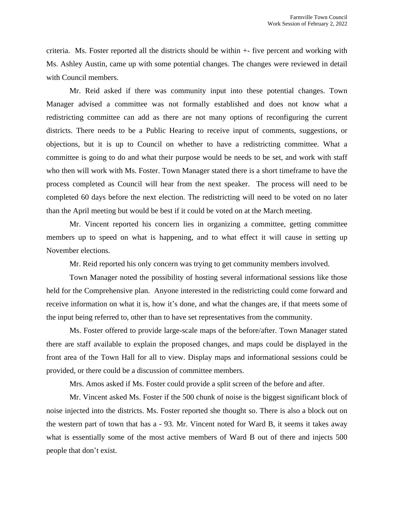criteria. Ms. Foster reported all the districts should be within +- five percent and working with Ms. Ashley Austin, came up with some potential changes. The changes were reviewed in detail with Council members.

Mr. Reid asked if there was community input into these potential changes. Town Manager advised a committee was not formally established and does not know what a redistricting committee can add as there are not many options of reconfiguring the current districts. There needs to be a Public Hearing to receive input of comments, suggestions, or objections, but it is up to Council on whether to have a redistricting committee. What a committee is going to do and what their purpose would be needs to be set, and work with staff who then will work with Ms. Foster. Town Manager stated there is a short timeframe to have the process completed as Council will hear from the next speaker. The process will need to be completed 60 days before the next election. The redistricting will need to be voted on no later than the April meeting but would be best if it could be voted on at the March meeting.

Mr. Vincent reported his concern lies in organizing a committee, getting committee members up to speed on what is happening, and to what effect it will cause in setting up November elections.

Mr. Reid reported his only concern was trying to get community members involved.

Town Manager noted the possibility of hosting several informational sessions like those held for the Comprehensive plan. Anyone interested in the redistricting could come forward and receive information on what it is, how it's done, and what the changes are, if that meets some of the input being referred to, other than to have set representatives from the community.

Ms. Foster offered to provide large-scale maps of the before/after. Town Manager stated there are staff available to explain the proposed changes, and maps could be displayed in the front area of the Town Hall for all to view. Display maps and informational sessions could be provided, or there could be a discussion of committee members.

Mrs. Amos asked if Ms. Foster could provide a split screen of the before and after.

Mr. Vincent asked Ms. Foster if the 500 chunk of noise is the biggest significant block of noise injected into the districts. Ms. Foster reported she thought so. There is also a block out on the western part of town that has a - 93. Mr. Vincent noted for Ward B, it seems it takes away what is essentially some of the most active members of Ward B out of there and injects 500 people that don't exist.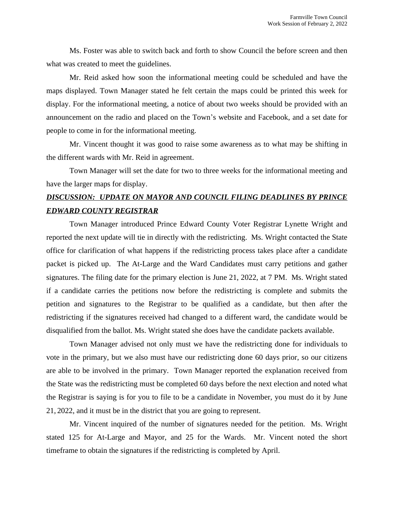Ms. Foster was able to switch back and forth to show Council the before screen and then what was created to meet the guidelines.

Mr. Reid asked how soon the informational meeting could be scheduled and have the maps displayed. Town Manager stated he felt certain the maps could be printed this week for display. For the informational meeting, a notice of about two weeks should be provided with an announcement on the radio and placed on the Town's website and Facebook, and a set date for people to come in for the informational meeting.

Mr. Vincent thought it was good to raise some awareness as to what may be shifting in the different wards with Mr. Reid in agreement.

Town Manager will set the date for two to three weeks for the informational meeting and have the larger maps for display.

# *DISCUSSION: UPDATE ON MAYOR AND COUNCIL FILING DEADLINES BY PRINCE EDWARD COUNTY REGISTRAR*

Town Manager introduced Prince Edward County Voter Registrar Lynette Wright and reported the next update will tie in directly with the redistricting. Ms. Wright contacted the State office for clarification of what happens if the redistricting process takes place after a candidate packet is picked up. The At-Large and the Ward Candidates must carry petitions and gather signatures. The filing date for the primary election is June 21, 2022, at 7 PM. Ms. Wright stated if a candidate carries the petitions now before the redistricting is complete and submits the petition and signatures to the Registrar to be qualified as a candidate, but then after the redistricting if the signatures received had changed to a different ward, the candidate would be disqualified from the ballot. Ms. Wright stated she does have the candidate packets available.

Town Manager advised not only must we have the redistricting done for individuals to vote in the primary, but we also must have our redistricting done 60 days prior, so our citizens are able to be involved in the primary. Town Manager reported the explanation received from the State was the redistricting must be completed 60 days before the next election and noted what the Registrar is saying is for you to file to be a candidate in November, you must do it by June 21, 2022, and it must be in the district that you are going to represent.

Mr. Vincent inquired of the number of signatures needed for the petition. Ms. Wright stated 125 for At-Large and Mayor, and 25 for the Wards. Mr. Vincent noted the short timeframe to obtain the signatures if the redistricting is completed by April.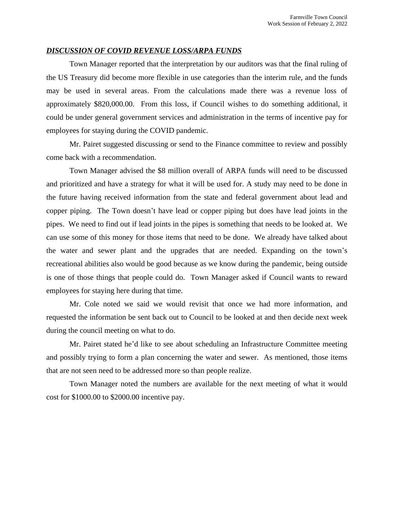#### *DISCUSSION OF COVID REVENUE LOSS/ARPA FUNDS*

Town Manager reported that the interpretation by our auditors was that the final ruling of the US Treasury did become more flexible in use categories than the interim rule, and the funds may be used in several areas. From the calculations made there was a revenue loss of approximately \$820,000.00. From this loss, if Council wishes to do something additional, it could be under general government services and administration in the terms of incentive pay for employees for staying during the COVID pandemic.

Mr. Pairet suggested discussing or send to the Finance committee to review and possibly come back with a recommendation.

Town Manager advised the \$8 million overall of ARPA funds will need to be discussed and prioritized and have a strategy for what it will be used for. A study may need to be done in the future having received information from the state and federal government about lead and copper piping. The Town doesn't have lead or copper piping but does have lead joints in the pipes. We need to find out if lead joints in the pipes is something that needs to be looked at. We can use some of this money for those items that need to be done. We already have talked about the water and sewer plant and the upgrades that are needed. Expanding on the town's recreational abilities also would be good because as we know during the pandemic, being outside is one of those things that people could do. Town Manager asked if Council wants to reward employees for staying here during that time.

Mr. Cole noted we said we would revisit that once we had more information, and requested the information be sent back out to Council to be looked at and then decide next week during the council meeting on what to do.

Mr. Pairet stated he'd like to see about scheduling an Infrastructure Committee meeting and possibly trying to form a plan concerning the water and sewer. As mentioned, those items that are not seen need to be addressed more so than people realize.

Town Manager noted the numbers are available for the next meeting of what it would cost for \$1000.00 to \$2000.00 incentive pay.